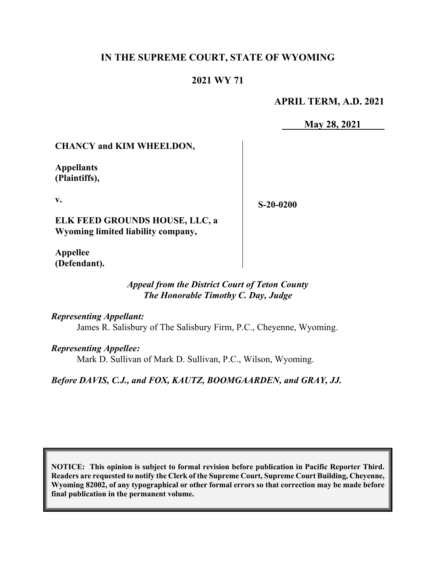# **IN THE SUPREME COURT, STATE OF WYOMING**

## **2021 WY 71**

## **APRIL TERM, A.D. 2021**

**May 28, 2021**

### **CHANCY and KIM WHEELDON,**

**Appellants (Plaintiffs),**

**v.**

**S-20-0200**

**ELK FEED GROUNDS HOUSE, LLC, a Wyoming limited liability company,**

**Appellee (Defendant).**

#### *Appeal from the District Court of Teton County The Honorable Timothy C. Day, Judge*

*Representing Appellant:*

James R. Salisbury of The Salisbury Firm, P.C., Cheyenne, Wyoming.

*Representing Appellee:*

Mark D. Sullivan of Mark D. Sullivan, P.C., Wilson, Wyoming.

*Before DAVIS, C.J., and FOX, KAUTZ, BOOMGAARDEN, and GRAY, JJ.*

**NOTICE: This opinion is subject to formal revision before publication in Pacific Reporter Third. Readers are requested to notify the Clerk of the Supreme Court, Supreme Court Building, Cheyenne, Wyoming 82002, of any typographical or other formal errors so that correction may be made before final publication in the permanent volume.**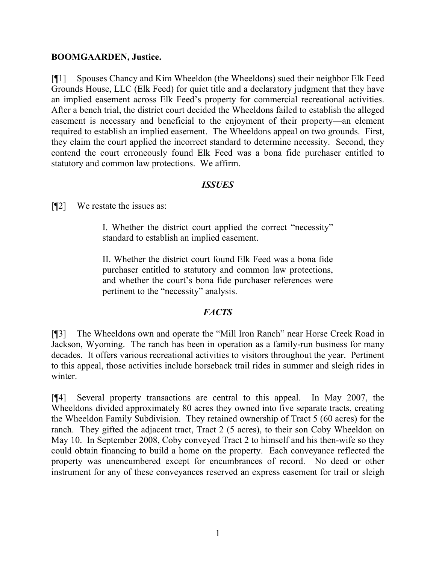### **BOOMGAARDEN, Justice.**

[¶1] Spouses Chancy and Kim Wheeldon (the Wheeldons) sued their neighbor Elk Feed Grounds House, LLC (Elk Feed) for quiet title and a declaratory judgment that they have an implied easement across Elk Feed's property for commercial recreational activities. After a bench trial, the district court decided the Wheeldons failed to establish the alleged easement is necessary and beneficial to the enjoyment of their property—an element required to establish an implied easement. The Wheeldons appeal on two grounds. First, they claim the court applied the incorrect standard to determine necessity. Second, they contend the court erroneously found Elk Feed was a bona fide purchaser entitled to statutory and common law protections. We affirm.

### *ISSUES*

[¶2] We restate the issues as:

I. Whether the district court applied the correct "necessity" standard to establish an implied easement.

II. Whether the district court found Elk Feed was a bona fide purchaser entitled to statutory and common law protections, and whether the court's bona fide purchaser references were pertinent to the "necessity" analysis.

## *FACTS*

[¶3] The Wheeldons own and operate the "Mill Iron Ranch" near Horse Creek Road in Jackson, Wyoming. The ranch has been in operation as a family-run business for many decades. It offers various recreational activities to visitors throughout the year. Pertinent to this appeal, those activities include horseback trail rides in summer and sleigh rides in winter.

[¶4] Several property transactions are central to this appeal. In May 2007, the Wheeldons divided approximately 80 acres they owned into five separate tracts, creating the Wheeldon Family Subdivision. They retained ownership of Tract 5 (60 acres) for the ranch. They gifted the adjacent tract, Tract 2 (5 acres), to their son Coby Wheeldon on May 10. In September 2008, Coby conveyed Tract 2 to himself and his then-wife so they could obtain financing to build a home on the property. Each conveyance reflected the property was unencumbered except for encumbrances of record. No deed or other instrument for any of these conveyances reserved an express easement for trail or sleigh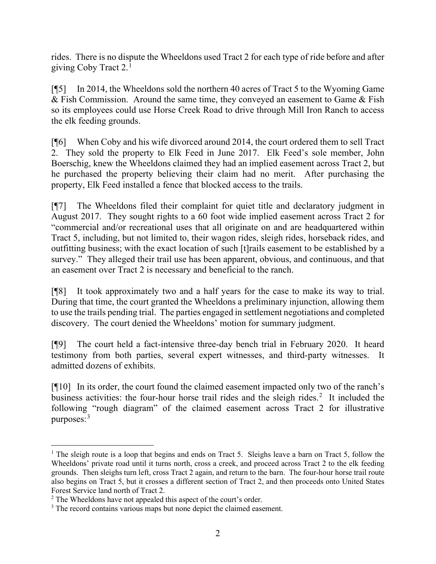rides. There is no dispute the Wheeldons used Tract 2 for each type of ride before and after giving Coby Tract 2. [1](#page-2-0)

[¶5] In 2014, the Wheeldons sold the northern 40 acres of Tract 5 to the Wyoming Game & Fish Commission. Around the same time, they conveyed an easement to Game & Fish so its employees could use Horse Creek Road to drive through Mill Iron Ranch to access the elk feeding grounds.

[¶6] When Coby and his wife divorced around 2014, the court ordered them to sell Tract 2. They sold the property to Elk Feed in June 2017. Elk Feed's sole member, John Boerschig, knew the Wheeldons claimed they had an implied easement across Tract 2, but he purchased the property believing their claim had no merit. After purchasing the property, Elk Feed installed a fence that blocked access to the trails.

[¶7] The Wheeldons filed their complaint for quiet title and declaratory judgment in August 2017. They sought rights to a 60 foot wide implied easement across Tract 2 for "commercial and/or recreational uses that all originate on and are headquartered within Tract 5, including, but not limited to, their wagon rides, sleigh rides, horseback rides, and outfitting business; with the exact location of such [t]rails easement to be established by a survey." They alleged their trail use has been apparent, obvious, and continuous, and that an easement over Tract 2 is necessary and beneficial to the ranch.

[¶8] It took approximately two and a half years for the case to make its way to trial. During that time, the court granted the Wheeldons a preliminary injunction, allowing them to use the trails pending trial. The parties engaged in settlement negotiations and completed discovery. The court denied the Wheeldons' motion for summary judgment.

[¶9] The court held a fact-intensive three-day bench trial in February 2020. It heard testimony from both parties, several expert witnesses, and third-party witnesses. It admitted dozens of exhibits.

[¶10] In its order, the court found the claimed easement impacted only two of the ranch's business activities: the four-hour horse trail rides and the sleigh rides.<sup>[2](#page-2-1)</sup> It included the following "rough diagram" of the claimed easement across Tract 2 for illustrative purposes: [3](#page-2-2)

<span id="page-2-0"></span><sup>&</sup>lt;sup>1</sup> The sleigh route is a loop that begins and ends on Tract 5. Sleighs leave a barn on Tract 5, follow the Wheeldons' private road until it turns north, cross a creek, and proceed across Tract 2 to the elk feeding grounds. Then sleighs turn left, cross Tract 2 again, and return to the barn. The four-hour horse trail route also begins on Tract 5, but it crosses a different section of Tract 2, and then proceeds onto United States

<span id="page-2-1"></span> $\frac{2}{3}$  The Wheeldons have not appealed this aspect of the court's order.  $\frac{3}{3}$  The record contains various maps but none depict the claimed easement.

<span id="page-2-2"></span>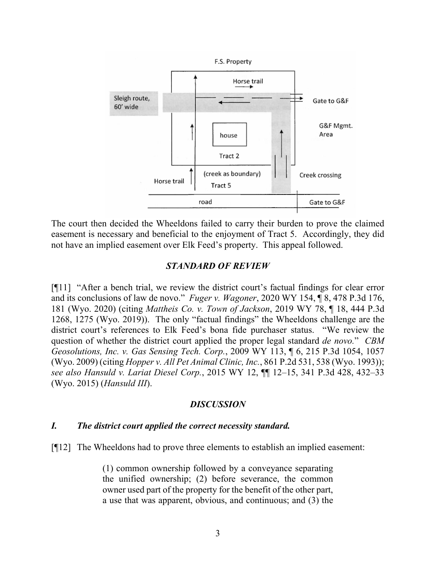

The court then decided the Wheeldons failed to carry their burden to prove the claimed easement is necessary and beneficial to the enjoyment of Tract 5. Accordingly, they did not have an implied easement over Elk Feed's property. This appeal followed.

#### *STANDARD OF REVIEW*

[¶11] "After a bench trial, we review the district court's factual findings for clear error and its conclusions of law de novo." *Fuger v. Wagoner*, 2020 WY 154, ¶ 8, 478 P.3d 176, 181 (Wyo. 2020) (citing *Mattheis Co. v. Town of Jackson*, 2019 WY 78, ¶ 18, 444 P.3d 1268, 1275 (Wyo. 2019)). The only "factual findings" the Wheeldons challenge are the district court's references to Elk Feed's bona fide purchaser status. "We review the question of whether the district court applied the proper legal standard *de novo.*" *CBM Geosolutions, Inc. v. Gas Sensing Tech. Corp.*, 2009 WY 113, ¶ 6, 215 P.3d 1054, 1057 (Wyo. 2009) (citing *Hopper v. All Pet Animal Clinic, Inc.*, 861 P.2d 531, 538 (Wyo. 1993)); *see also Hansuld v. Lariat Diesel Corp.*, 2015 WY 12, ¶¶ 12–15, 341 P.3d 428, 432–33 (Wyo. 2015) (*Hansuld III*).

#### *DISCUSSION*

#### *I. The district court applied the correct necessity standard.*

[¶12] The Wheeldons had to prove three elements to establish an implied easement:

(1) common ownership followed by a conveyance separating the unified ownership; (2) before severance, the common owner used part of the property for the benefit of the other part, a use that was apparent, obvious, and continuous; and (3) the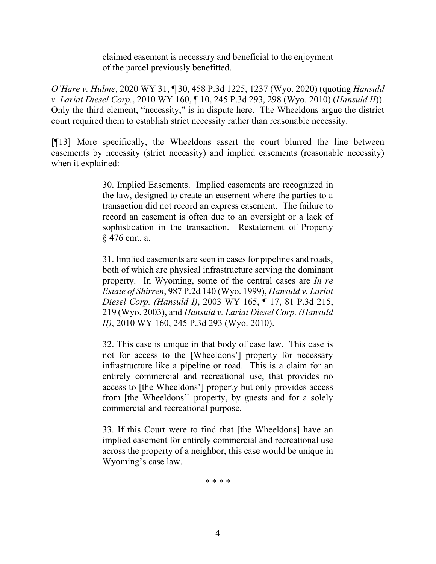claimed easement is necessary and beneficial to the enjoyment of the parcel previously benefitted.

*O'Hare v. Hulme*, 2020 WY 31, ¶ 30, 458 P.3d 1225, 1237 (Wyo. 2020) (quoting *Hansuld v. Lariat Diesel Corp.*, 2010 WY 160, ¶ 10, 245 P.3d 293, 298 (Wyo. 2010) (*Hansuld II*)). Only the third element, "necessity," is in dispute here. The Wheeldons argue the district court required them to establish strict necessity rather than reasonable necessity.

[¶13] More specifically, the Wheeldons assert the court blurred the line between easements by necessity (strict necessity) and implied easements (reasonable necessity) when it explained:

> 30. Implied Easements. Implied easements are recognized in the law, designed to create an easement where the parties to a transaction did not record an express easement. The failure to record an easement is often due to an oversight or a lack of sophistication in the transaction. Restatement of Property § 476 cmt. a.

> 31. Implied easements are seen in cases for pipelines and roads, both of which are physical infrastructure serving the dominant property. In Wyoming, some of the central cases are *In re Estate of Shirren*, 987 P.2d 140 (Wyo. 1999), *Hansuld v. Lariat Diesel Corp. (Hansuld I)*, 2003 WY 165, ¶ 17, 81 P.3d 215, 219 (Wyo. 2003), and *Hansuld v. Lariat Diesel Corp. (Hansuld II)*, 2010 WY 160, 245 P.3d 293 (Wyo. 2010).

> 32. This case is unique in that body of case law. This case is not for access to the [Wheeldons'] property for necessary infrastructure like a pipeline or road. This is a claim for an entirely commercial and recreational use, that provides no access to [the Wheeldons'] property but only provides access from [the Wheeldons'] property, by guests and for a solely commercial and recreational purpose.

> 33. If this Court were to find that [the Wheeldons] have an implied easement for entirely commercial and recreational use across the property of a neighbor, this case would be unique in Wyoming's case law.

> > \* \* \* \*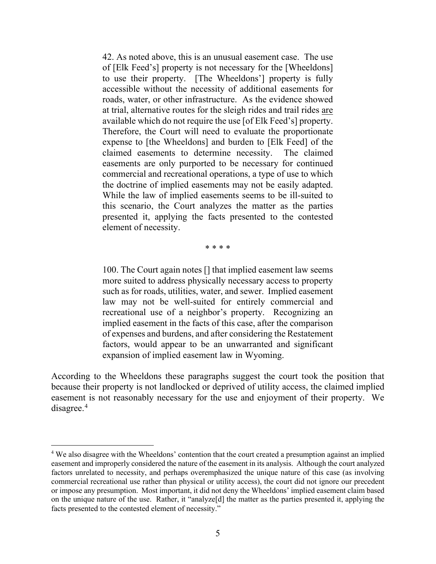42. As noted above, this is an unusual easement case. The use of [Elk Feed's] property is not necessary for the [Wheeldons] to use their property. [The Wheeldons'] property is fully accessible without the necessity of additional easements for roads, water, or other infrastructure. As the evidence showed at trial, alternative routes for the sleigh rides and trail rides are available which do not require the use [of Elk Feed's] property. Therefore, the Court will need to evaluate the proportionate expense to [the Wheeldons] and burden to [Elk Feed] of the claimed easements to determine necessity. The claimed easements are only purported to be necessary for continued commercial and recreational operations, a type of use to which the doctrine of implied easements may not be easily adapted. While the law of implied easements seems to be ill-suited to this scenario, the Court analyzes the matter as the parties presented it, applying the facts presented to the contested element of necessity.

\* \* \* \*

100. The Court again notes [] that implied easement law seems more suited to address physically necessary access to property such as for roads, utilities, water, and sewer. Implied easement law may not be well-suited for entirely commercial and recreational use of a neighbor's property. Recognizing an implied easement in the facts of this case, after the comparison of expenses and burdens, and after considering the Restatement factors, would appear to be an unwarranted and significant expansion of implied easement law in Wyoming.

According to the Wheeldons these paragraphs suggest the court took the position that because their property is not landlocked or deprived of utility access, the claimed implied easement is not reasonably necessary for the use and enjoyment of their property. We  $disagree.<sup>4</sup>$  $disagree.<sup>4</sup>$  $disagree.<sup>4</sup>$ 

<span id="page-5-0"></span><sup>&</sup>lt;sup>4</sup> We also disagree with the Wheeldons' contention that the court created a presumption against an implied easement and improperly considered the nature of the easement in its analysis. Although the court analyzed factors unrelated to necessity, and perhaps overemphasized the unique nature of this case (as involving commercial recreational use rather than physical or utility access), the court did not ignore our precedent or impose any presumption. Most important, it did not deny the Wheeldons' implied easement claim based on the unique nature of the use. Rather, it "analyze[d] the matter as the parties presented it, applying the facts presented to the contested element of necessity."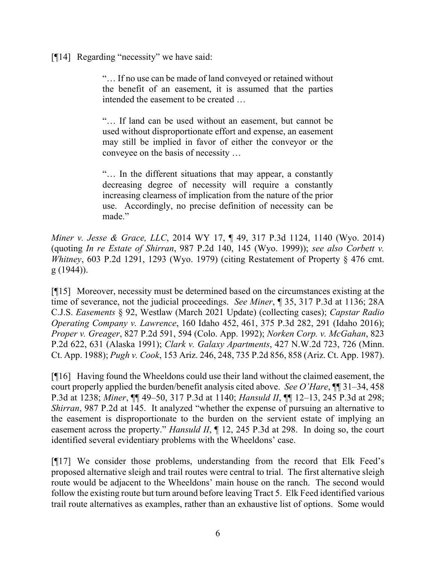[¶14] Regarding "necessity" we have said:

"… If no use can be made of land conveyed or retained without the benefit of an easement, it is assumed that the parties intended the easement to be created …

"… If land can be used without an easement, but cannot be used without disproportionate effort and expense, an easement may still be implied in favor of either the conveyor or the conveyee on the basis of necessity …

"… In the different situations that may appear, a constantly decreasing degree of necessity will require a constantly increasing clearness of implication from the nature of the prior use. Accordingly, no precise definition of necessity can be made."

*Miner v. Jesse & Grace, LLC*, 2014 WY 17, ¶ 49, 317 P.3d 1124, 1140 (Wyo. 2014) (quoting *In re Estate of Shirran*, 987 P.2d 140, 145 (Wyo. 1999)); *see also Corbett v. Whitney*, 603 P.2d 1291, 1293 (Wyo. 1979) (citing Restatement of Property § 476 cmt. g (1944)).

[¶15] Moreover, necessity must be determined based on the circumstances existing at the time of severance, not the judicial proceedings. *See Miner*, ¶ 35, 317 P.3d at 1136; 28A C.J.S. *Easements* § 92, Westlaw (March 2021 Update) (collecting cases); *Capstar Radio Operating Company v. Lawrence*, 160 Idaho 452, 461, 375 P.3d 282, 291 (Idaho 2016); *Proper v. Greager*, 827 P.2d 591, 594 (Colo. App. 1992); *Norken Corp. v. McGahan*, 823 P.2d 622, 631 (Alaska 1991); *Clark v. Galaxy Apartments*, 427 N.W.2d 723, 726 (Minn. Ct. App. 1988); *Pugh v. Cook*, 153 Ariz. 246, 248, 735 P.2d 856, 858 (Ariz. Ct. App. 1987).

[¶16] Having found the Wheeldons could use their land without the claimed easement, the court properly applied the burden/benefit analysis cited above. *See O'Hare*, ¶¶ 31–34, 458 P.3d at 1238; *Miner*, ¶¶ 49–50, 317 P.3d at 1140; *Hansuld II*, ¶¶ 12–13, 245 P.3d at 298; *Shirran*, 987 P.2d at 145. It analyzed "whether the expense of pursuing an alternative to the easement is disproportionate to the burden on the servient estate of implying an easement across the property." *Hansuld II*, ¶ 12, 245 P.3d at 298. In doing so, the court identified several evidentiary problems with the Wheeldons' case.

[¶17] We consider those problems, understanding from the record that Elk Feed's proposed alternative sleigh and trail routes were central to trial. The first alternative sleigh route would be adjacent to the Wheeldons' main house on the ranch. The second would follow the existing route but turn around before leaving Tract 5. Elk Feed identified various trail route alternatives as examples, rather than an exhaustive list of options. Some would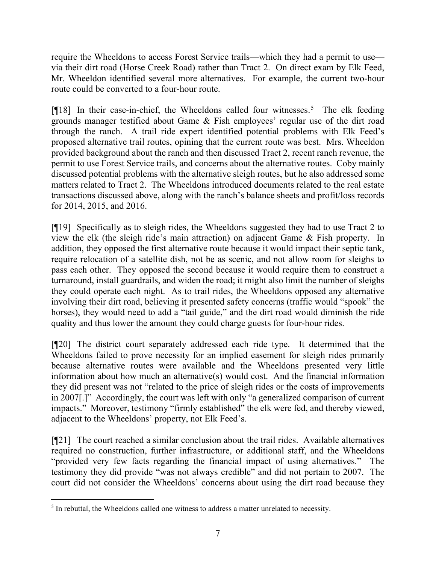require the Wheeldons to access Forest Service trails—which they had a permit to use via their dirt road (Horse Creek Road) rather than Tract 2. On direct exam by Elk Feed, Mr. Wheeldon identified several more alternatives. For example, the current two-hour route could be converted to a four-hour route.

[¶18] In their case-in-chief, the Wheeldons called four witnesses.<sup>[5](#page-7-0)</sup> The elk feeding grounds manager testified about Game & Fish employees' regular use of the dirt road through the ranch. A trail ride expert identified potential problems with Elk Feed's proposed alternative trail routes, opining that the current route was best. Mrs. Wheeldon provided background about the ranch and then discussed Tract 2, recent ranch revenue, the permit to use Forest Service trails, and concerns about the alternative routes. Coby mainly discussed potential problems with the alternative sleigh routes, but he also addressed some matters related to Tract 2. The Wheeldons introduced documents related to the real estate transactions discussed above, along with the ranch's balance sheets and profit/loss records for 2014, 2015, and 2016.

[¶19] Specifically as to sleigh rides, the Wheeldons suggested they had to use Tract 2 to view the elk (the sleigh ride's main attraction) on adjacent Game & Fish property. In addition, they opposed the first alternative route because it would impact their septic tank, require relocation of a satellite dish, not be as scenic, and not allow room for sleighs to pass each other. They opposed the second because it would require them to construct a turnaround, install guardrails, and widen the road; it might also limit the number of sleighs they could operate each night. As to trail rides, the Wheeldons opposed any alternative involving their dirt road, believing it presented safety concerns (traffic would "spook" the horses), they would need to add a "tail guide," and the dirt road would diminish the ride quality and thus lower the amount they could charge guests for four-hour rides.

[¶20] The district court separately addressed each ride type. It determined that the Wheeldons failed to prove necessity for an implied easement for sleigh rides primarily because alternative routes were available and the Wheeldons presented very little information about how much an alternative(s) would cost. And the financial information they did present was not "related to the price of sleigh rides or the costs of improvements in 2007[.]" Accordingly, the court was left with only "a generalized comparison of current impacts." Moreover, testimony "firmly established" the elk were fed, and thereby viewed, adjacent to the Wheeldons' property, not Elk Feed's.

[¶21] The court reached a similar conclusion about the trail rides. Available alternatives required no construction, further infrastructure, or additional staff, and the Wheeldons "provided very few facts regarding the financial impact of using alternatives." The testimony they did provide "was not always credible" and did not pertain to 2007. The court did not consider the Wheeldons' concerns about using the dirt road because they

<span id="page-7-0"></span><sup>&</sup>lt;sup>5</sup> In rebuttal, the Wheeldons called one witness to address a matter unrelated to necessity.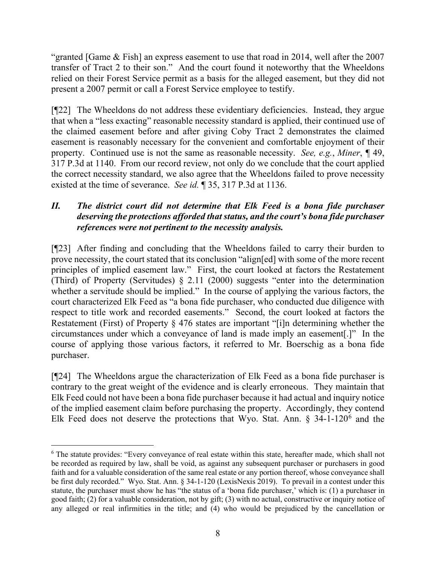"granted [Game & Fish] an express easement to use that road in 2014, well after the 2007 transfer of Tract 2 to their son." And the court found it noteworthy that the Wheeldons relied on their Forest Service permit as a basis for the alleged easement, but they did not present a 2007 permit or call a Forest Service employee to testify.

[¶22] The Wheeldons do not address these evidentiary deficiencies. Instead, they argue that when a "less exacting" reasonable necessity standard is applied, their continued use of the claimed easement before and after giving Coby Tract 2 demonstrates the claimed easement is reasonably necessary for the convenient and comfortable enjoyment of their property. Continued use is not the same as reasonable necessity. *See, e.g.*, *Miner*, *¶* 49, 317 P.3d at 1140. From our record review, not only do we conclude that the court applied the correct necessity standard, we also agree that the Wheeldons failed to prove necessity existed at the time of severance. *See id.* ¶ 35, 317 P.3d at 1136.

# *II. The district court did not determine that Elk Feed is a bona fide purchaser deserving the protections afforded that status, and the court's bona fide purchaser references were not pertinent to the necessity analysis.*

[¶23] After finding and concluding that the Wheeldons failed to carry their burden to prove necessity, the court stated that its conclusion "align[ed] with some of the more recent principles of implied easement law." First, the court looked at factors the Restatement (Third) of Property (Servitudes) § 2.11 (2000) suggests "enter into the determination whether a servitude should be implied." In the course of applying the various factors, the court characterized Elk Feed as "a bona fide purchaser, who conducted due diligence with respect to title work and recorded easements." Second, the court looked at factors the Restatement (First) of Property § 476 states are important "[i]n determining whether the circumstances under which a conveyance of land is made imply an easement[.]" In the course of applying those various factors, it referred to Mr. Boerschig as a bona fide purchaser.

[¶24] The Wheeldons argue the characterization of Elk Feed as a bona fide purchaser is contrary to the great weight of the evidence and is clearly erroneous. They maintain that Elk Feed could not have been a bona fide purchaser because it had actual and inquiry notice of the implied easement claim before purchasing the property. Accordingly, they contend Elk Feed does not deserve the protections that Wyo. Stat. Ann.  $\S$  34-1-120<sup>[6](#page-8-0)</sup> and the

<span id="page-8-0"></span><sup>&</sup>lt;sup>6</sup> The statute provides: "Every conveyance of real estate within this state, hereafter made, which shall not be recorded as required by law, shall be void, as against any subsequent purchaser or purchasers in good faith and for a valuable consideration of the same real estate or any portion thereof, whose conveyance shall be first duly recorded." Wyo. Stat. Ann. § 34-1-120 (LexisNexis 2019). To prevail in a contest under this statute, the purchaser must show he has "the status of a 'bona fide purchaser,' which is: (1) a purchaser in good faith; (2) for a valuable consideration, not by gift; (3) with no actual, constructive or inquiry notice of any alleged or real infirmities in the title; and (4) who would be prejudiced by the cancellation or